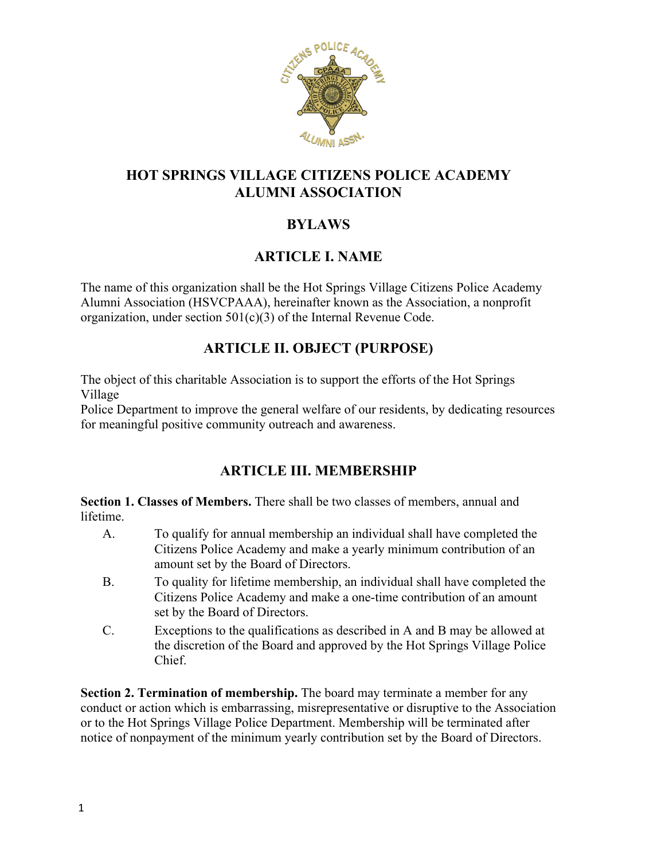

### **HOT SPRINGS VILLAGE CITIZENS POLICE ACADEMY ALUMNI ASSOCIATION**

### **BYLAWS**

#### **ARTICLE I. NAME**

The name of this organization shall be the Hot Springs Village Citizens Police Academy Alumni Association (HSVCPAAA), hereinafter known as the Association, a nonprofit organization, under section 501(c)(3) of the Internal Revenue Code.

### **ARTICLE II. OBJECT (PURPOSE)**

The object of this charitable Association is to support the efforts of the Hot Springs Village

Police Department to improve the general welfare of our residents, by dedicating resources for meaningful positive community outreach and awareness.

### **ARTICLE III. MEMBERSHIP**

**Section 1. Classes of Members.** There shall be two classes of members, annual and lifetime.

- A. To qualify for annual membership an individual shall have completed the Citizens Police Academy and make a yearly minimum contribution of an amount set by the Board of Directors.
- B. To quality for lifetime membership, an individual shall have completed the Citizens Police Academy and make a one-time contribution of an amount set by the Board of Directors.
- C. Exceptions to the qualifications as described in A and B may be allowed at the discretion of the Board and approved by the Hot Springs Village Police Chief.

**Section 2. Termination of membership.** The board may terminate a member for any conduct or action which is embarrassing, misrepresentative or disruptive to the Association or to the Hot Springs Village Police Department. Membership will be terminated after notice of nonpayment of the minimum yearly contribution set by the Board of Directors.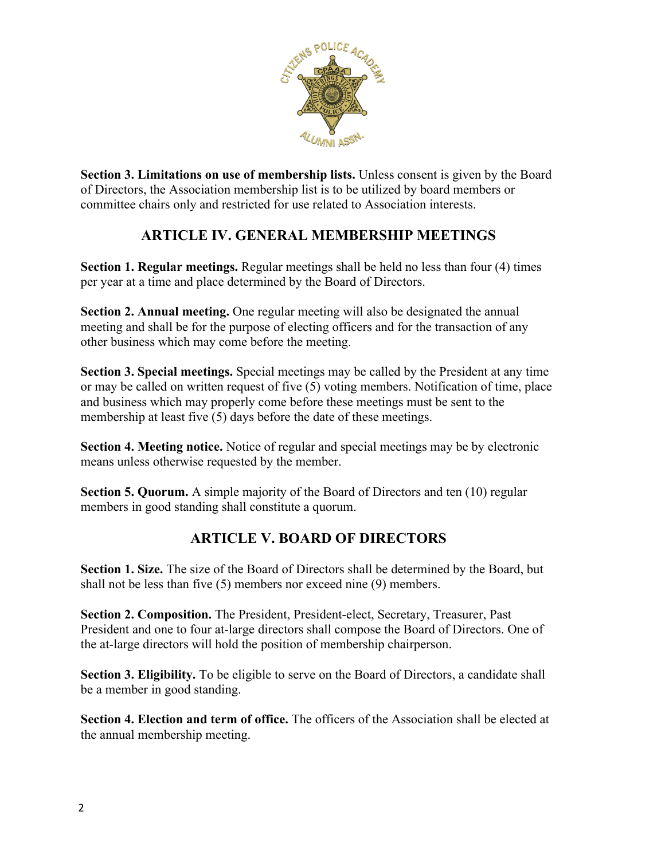

**Section 3. Limitations on use of membership lists.** Unless consent is given by the Board of Directors, the Association membership list is to be utilized by board members or committee chairs only and restricted for use related to Association interests.

### **ARTICLE IV. GENERAL MEMBERSHIP MEETINGS**

**Section 1. Regular meetings.** Regular meetings shall be held no less than four (4) times per year at a time and place determined by the Board of Directors.

**Section 2. Annual meeting.** One regular meeting will also be designated the annual meeting and shall be for the purpose of electing officers and for the transaction of any other business which may come before the meeting.

**Section 3. Special meetings.** Special meetings may be called by the President at any time or may be called on written request of five (5) voting members. Notification of time, place and business which may properly come before these meetings must be sent to the membership at least five (5) days before the date of these meetings.

**Section 4. Meeting notice.** Notice of regular and special meetings may be by electronic means unless otherwise requested by the member.

**Section 5. Quorum.** A simple majority of the Board of Directors and ten (10) regular members in good standing shall constitute a quorum.

# **ARTICLE V. BOARD OF DIRECTORS**

**Section 1. Size.** The size of the Board of Directors shall be determined by the Board, but shall not be less than five (5) members nor exceed nine (9) members.

**Section 2. Composition.** The President, President-elect, Secretary, Treasurer, Past President and one to four at-large directors shall compose the Board of Directors. One of the at-large directors will hold the position of membership chairperson.

**Section 3. Eligibility.** To be eligible to serve on the Board of Directors, a candidate shall be a member in good standing.

**Section 4. Election and term of office.** The officers of the Association shall be elected at the annual membership meeting.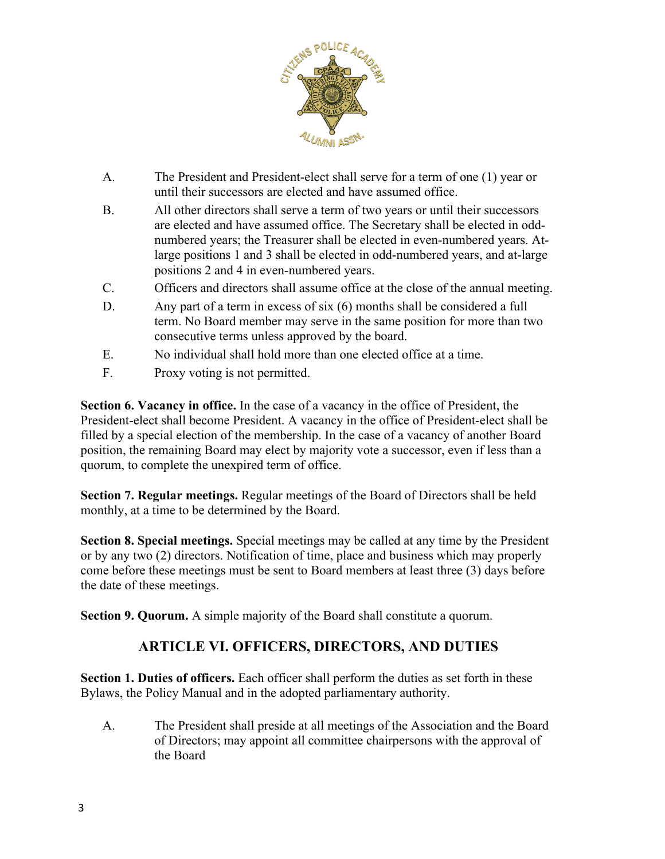

- A. The President and President-elect shall serve for a term of one (1) year or until their successors are elected and have assumed office.
- B. All other directors shall serve a term of two years or until their successors are elected and have assumed office. The Secretary shall be elected in oddnumbered years; the Treasurer shall be elected in even-numbered years. Atlarge positions 1 and 3 shall be elected in odd-numbered years, and at-large positions 2 and 4 in even-numbered years.
- C. Officers and directors shall assume office at the close of the annual meeting.
- D. Any part of a term in excess of six (6) months shall be considered a full term. No Board member may serve in the same position for more than two consecutive terms unless approved by the board.
- E. No individual shall hold more than one elected office at a time.
- F. Proxy voting is not permitted.

**Section 6. Vacancy in office.** In the case of a vacancy in the office of President, the President-elect shall become President. A vacancy in the office of President-elect shall be filled by a special election of the membership. In the case of a vacancy of another Board position, the remaining Board may elect by majority vote a successor, even if less than a quorum, to complete the unexpired term of office.

**Section 7. Regular meetings.** Regular meetings of the Board of Directors shall be held monthly, at a time to be determined by the Board.

**Section 8. Special meetings.** Special meetings may be called at any time by the President or by any two (2) directors. Notification of time, place and business which may properly come before these meetings must be sent to Board members at least three (3) days before the date of these meetings.

**Section 9. Quorum.** A simple majority of the Board shall constitute a quorum.

#### **ARTICLE VI. OFFICERS, DIRECTORS, AND DUTIES**

**Section 1. Duties of officers.** Each officer shall perform the duties as set forth in these Bylaws, the Policy Manual and in the adopted parliamentary authority.

 A. The President shall preside at all meetings of the Association and the Board of Directors; may appoint all committee chairpersons with the approval of the Board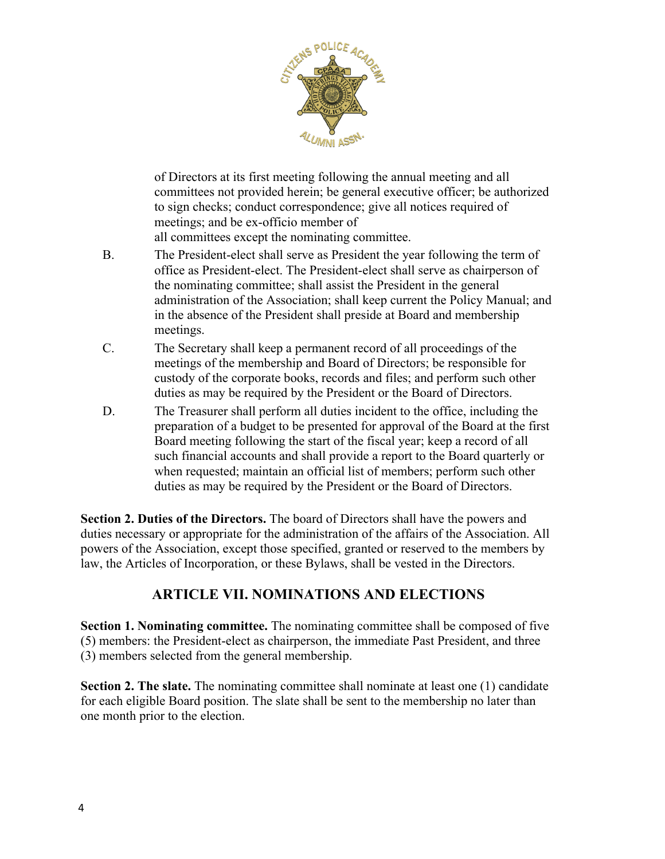

of Directors at its first meeting following the annual meeting and all committees not provided herein; be general executive officer; be authorized to sign checks; conduct correspondence; give all notices required of meetings; and be ex-officio member of all committees except the nominating committee.

- B. The President-elect shall serve as President the year following the term of office as President-elect. The President-elect shall serve as chairperson of the nominating committee; shall assist the President in the general administration of the Association; shall keep current the Policy Manual; and in the absence of the President shall preside at Board and membership meetings.
- C. The Secretary shall keep a permanent record of all proceedings of the meetings of the membership and Board of Directors; be responsible for custody of the corporate books, records and files; and perform such other duties as may be required by the President or the Board of Directors.
- D. The Treasurer shall perform all duties incident to the office, including the preparation of a budget to be presented for approval of the Board at the first Board meeting following the start of the fiscal year; keep a record of all such financial accounts and shall provide a report to the Board quarterly or when requested; maintain an official list of members; perform such other duties as may be required by the President or the Board of Directors.

**Section 2. Duties of the Directors.** The board of Directors shall have the powers and duties necessary or appropriate for the administration of the affairs of the Association. All powers of the Association, except those specified, granted or reserved to the members by law, the Articles of Incorporation, or these Bylaws, shall be vested in the Directors.

### **ARTICLE VII. NOMINATIONS AND ELECTIONS**

**Section 1. Nominating committee.** The nominating committee shall be composed of five (5) members: the President-elect as chairperson, the immediate Past President, and three (3) members selected from the general membership.

**Section 2. The slate.** The nominating committee shall nominate at least one (1) candidate for each eligible Board position. The slate shall be sent to the membership no later than one month prior to the election.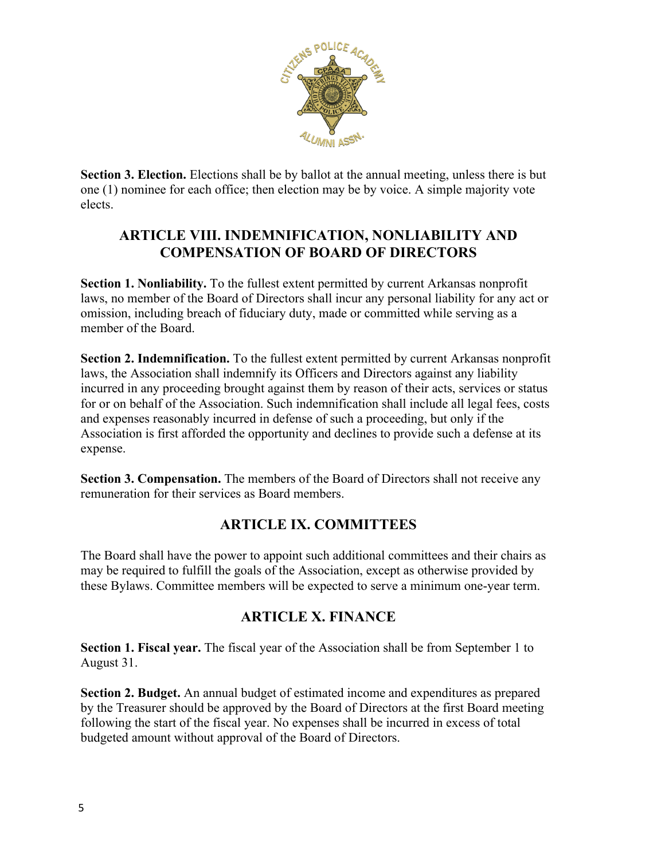

**Section 3. Election.** Elections shall be by ballot at the annual meeting, unless there is but one (1) nominee for each office; then election may be by voice. A simple majority vote elects.

#### **ARTICLE VIII. INDEMNIFICATION, NONLIABILITY AND COMPENSATION OF BOARD OF DIRECTORS**

**Section 1. Nonliability.** To the fullest extent permitted by current Arkansas nonprofit laws, no member of the Board of Directors shall incur any personal liability for any act or omission, including breach of fiduciary duty, made or committed while serving as a member of the Board.

**Section 2. Indemnification.** To the fullest extent permitted by current Arkansas nonprofit laws, the Association shall indemnify its Officers and Directors against any liability incurred in any proceeding brought against them by reason of their acts, services or status for or on behalf of the Association. Such indemnification shall include all legal fees, costs and expenses reasonably incurred in defense of such a proceeding, but only if the Association is first afforded the opportunity and declines to provide such a defense at its expense.

**Section 3. Compensation.** The members of the Board of Directors shall not receive any remuneration for their services as Board members.

### **ARTICLE IX. COMMITTEES**

The Board shall have the power to appoint such additional committees and their chairs as may be required to fulfill the goals of the Association, except as otherwise provided by these Bylaws. Committee members will be expected to serve a minimum one-year term.

# **ARTICLE X. FINANCE**

**Section 1. Fiscal year.** The fiscal year of the Association shall be from September 1 to August 31.

**Section 2. Budget.** An annual budget of estimated income and expenditures as prepared by the Treasurer should be approved by the Board of Directors at the first Board meeting following the start of the fiscal year. No expenses shall be incurred in excess of total budgeted amount without approval of the Board of Directors.